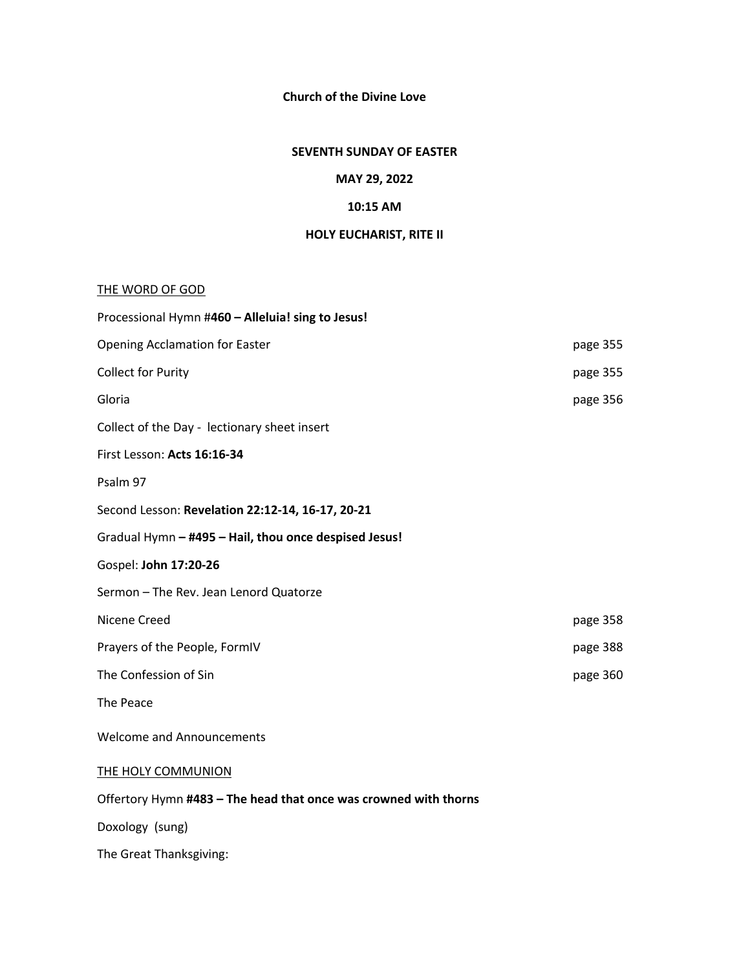### **Church of the Divine Love**

#### **SEVENTH SUNDAY OF EASTER**

#### **MAY 29, 2022**

## **10:15 AM**

### **HOLY EUCHARIST, RITE II**

#### THE WORD OF GOD

| Processional Hymn #460 - Alleluia! sing to Jesus!                |          |  |  |
|------------------------------------------------------------------|----------|--|--|
| <b>Opening Acclamation for Easter</b>                            | page 355 |  |  |
| <b>Collect for Purity</b>                                        | page 355 |  |  |
| Gloria                                                           | page 356 |  |  |
| Collect of the Day - lectionary sheet insert                     |          |  |  |
| First Lesson: Acts 16:16-34                                      |          |  |  |
| Psalm 97                                                         |          |  |  |
| Second Lesson: Revelation 22:12-14, 16-17, 20-21                 |          |  |  |
| Gradual Hymn - #495 - Hail, thou once despised Jesus!            |          |  |  |
| Gospel: John 17:20-26                                            |          |  |  |
| Sermon - The Rev. Jean Lenord Quatorze                           |          |  |  |
| Nicene Creed                                                     | page 358 |  |  |
| Prayers of the People, FormIV                                    | page 388 |  |  |
| The Confession of Sin                                            | page 360 |  |  |
| The Peace                                                        |          |  |  |
| <b>Welcome and Announcements</b>                                 |          |  |  |
| THE HOLY COMMUNION                                               |          |  |  |
| Offertory Hymn #483 - The head that once was crowned with thorns |          |  |  |
| Doxology (sung)                                                  |          |  |  |
|                                                                  |          |  |  |

The Great Thanksgiving: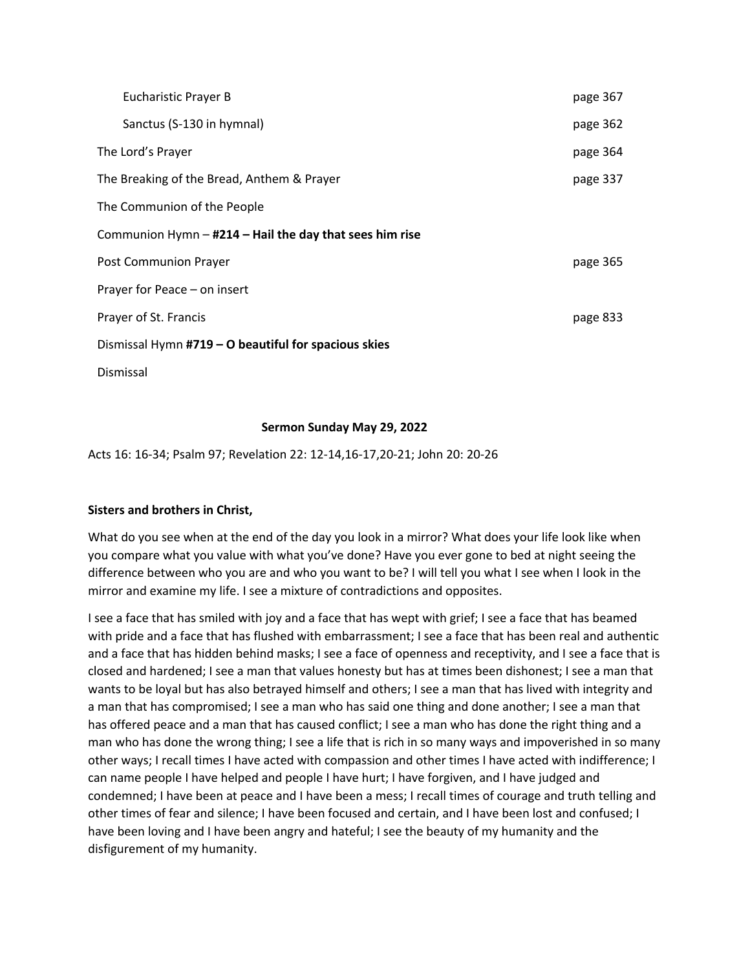|                                                         | Eucharistic Prayer B                                 | page 367 |
|---------------------------------------------------------|------------------------------------------------------|----------|
|                                                         | Sanctus (S-130 in hymnal)                            | page 362 |
|                                                         | The Lord's Prayer                                    | page 364 |
|                                                         | The Breaking of the Bread, Anthem & Prayer           | page 337 |
|                                                         | The Communion of the People                          |          |
| Communion Hymn - #214 - Hail the day that sees him rise |                                                      |          |
|                                                         | Post Communion Prayer                                | page 365 |
|                                                         | Prayer for Peace - on insert                         |          |
|                                                         | Prayer of St. Francis                                | page 833 |
|                                                         | Dismissal Hymn #719 - O beautiful for spacious skies |          |
|                                                         | Dismissal                                            |          |

#### **Sermon Sunday May 29, 2022**

Acts 16: 16-34; Psalm 97; Revelation 22: 12-14,16-17,20-21; John 20: 20-26

#### **Sisters and brothers in Christ,**

What do you see when at the end of the day you look in a mirror? What does your life look like when you compare what you value with what you've done? Have you ever gone to bed at night seeing the difference between who you are and who you want to be? I will tell you what I see when I look in the mirror and examine my life. I see a mixture of contradictions and opposites.

I see a face that has smiled with joy and a face that has wept with grief; I see a face that has beamed with pride and a face that has flushed with embarrassment; I see a face that has been real and authentic and a face that has hidden behind masks; I see a face of openness and receptivity, and I see a face that is closed and hardened; I see a man that values honesty but has at times been dishonest; I see a man that wants to be loyal but has also betrayed himself and others; I see a man that has lived with integrity and a man that has compromised; I see a man who has said one thing and done another; I see a man that has offered peace and a man that has caused conflict; I see a man who has done the right thing and a man who has done the wrong thing; I see a life that is rich in so many ways and impoverished in so many other ways; I recall times I have acted with compassion and other times I have acted with indifference; I can name people I have helped and people I have hurt; I have forgiven, and I have judged and condemned; I have been at peace and I have been a mess; I recall times of courage and truth telling and other times of fear and silence; I have been focused and certain, and I have been lost and confused; I have been loving and I have been angry and hateful; I see the beauty of my humanity and the disfigurement of my humanity.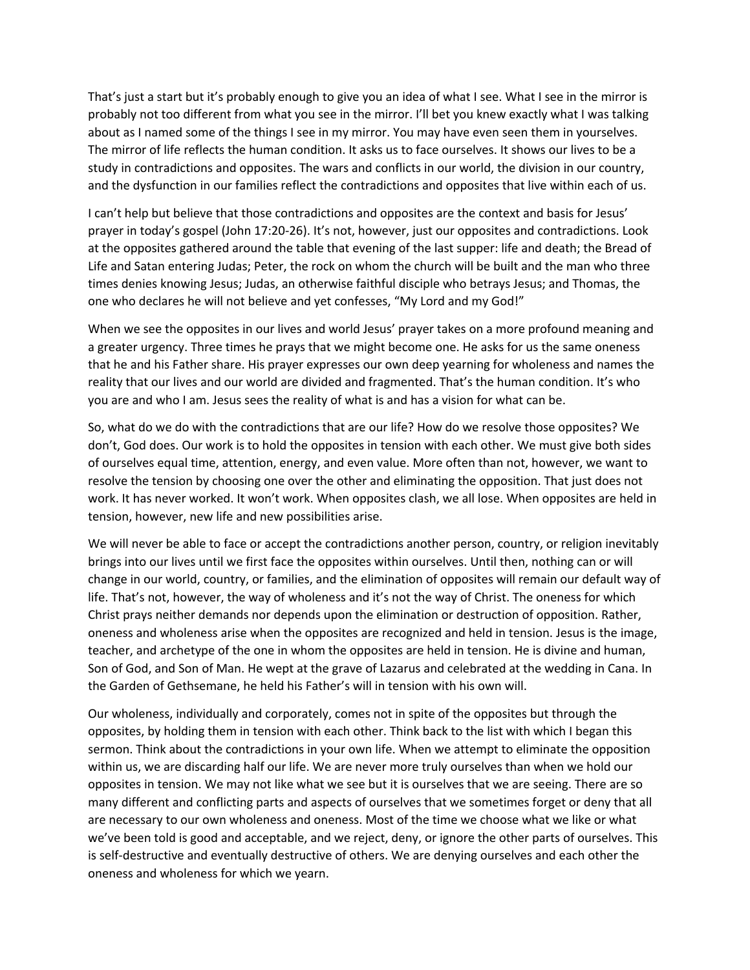That's just a start but it's probably enough to give you an idea of what I see. What I see in the mirror is probably not too different from what you see in the mirror. I'll bet you knew exactly what I was talking about as I named some of the things I see in my mirror. You may have even seen them in yourselves. The mirror of life reflects the human condition. It asks us to face ourselves. It shows our lives to be a study in contradictions and opposites. The wars and conflicts in our world, the division in our country, and the dysfunction in our families reflect the contradictions and opposites that live within each of us.

I can't help but believe that those contradictions and opposites are the context and basis for Jesus' prayer in today's gospel (John 17:20-26). It's not, however, just our opposites and contradictions. Look at the opposites gathered around the table that evening of the last supper: life and death; the Bread of Life and Satan entering Judas; Peter, the rock on whom the church will be built and the man who three times denies knowing Jesus; Judas, an otherwise faithful disciple who betrays Jesus; and Thomas, the one who declares he will not believe and yet confesses, "My Lord and my God!"

When we see the opposites in our lives and world Jesus' prayer takes on a more profound meaning and a greater urgency. Three times he prays that we might become one. He asks for us the same oneness that he and his Father share. His prayer expresses our own deep yearning for wholeness and names the reality that our lives and our world are divided and fragmented. That's the human condition. It's who you are and who I am. Jesus sees the reality of what is and has a vision for what can be.

So, what do we do with the contradictions that are our life? How do we resolve those opposites? We don't, God does. Our work is to hold the opposites in tension with each other. We must give both sides of ourselves equal time, attention, energy, and even value. More often than not, however, we want to resolve the tension by choosing one over the other and eliminating the opposition. That just does not work. It has never worked. It won't work. When opposites clash, we all lose. When opposites are held in tension, however, new life and new possibilities arise.

We will never be able to face or accept the contradictions another person, country, or religion inevitably brings into our lives until we first face the opposites within ourselves. Until then, nothing can or will change in our world, country, or families, and the elimination of opposites will remain our default way of life. That's not, however, the way of wholeness and it's not the way of Christ. The oneness for which Christ prays neither demands nor depends upon the elimination or destruction of opposition. Rather, oneness and wholeness arise when the opposites are recognized and held in tension. Jesus is the image, teacher, and archetype of the one in whom the opposites are held in tension. He is divine and human, Son of God, and Son of Man. He wept at the grave of Lazarus and celebrated at the wedding in Cana. In the Garden of Gethsemane, he held his Father's will in tension with his own will.

Our wholeness, individually and corporately, comes not in spite of the opposites but through the opposites, by holding them in tension with each other. Think back to the list with which I began this sermon. Think about the contradictions in your own life. When we attempt to eliminate the opposition within us, we are discarding half our life. We are never more truly ourselves than when we hold our opposites in tension. We may not like what we see but it is ourselves that we are seeing. There are so many different and conflicting parts and aspects of ourselves that we sometimes forget or deny that all are necessary to our own wholeness and oneness. Most of the time we choose what we like or what we've been told is good and acceptable, and we reject, deny, or ignore the other parts of ourselves. This is self-destructive and eventually destructive of others. We are denying ourselves and each other the oneness and wholeness for which we yearn.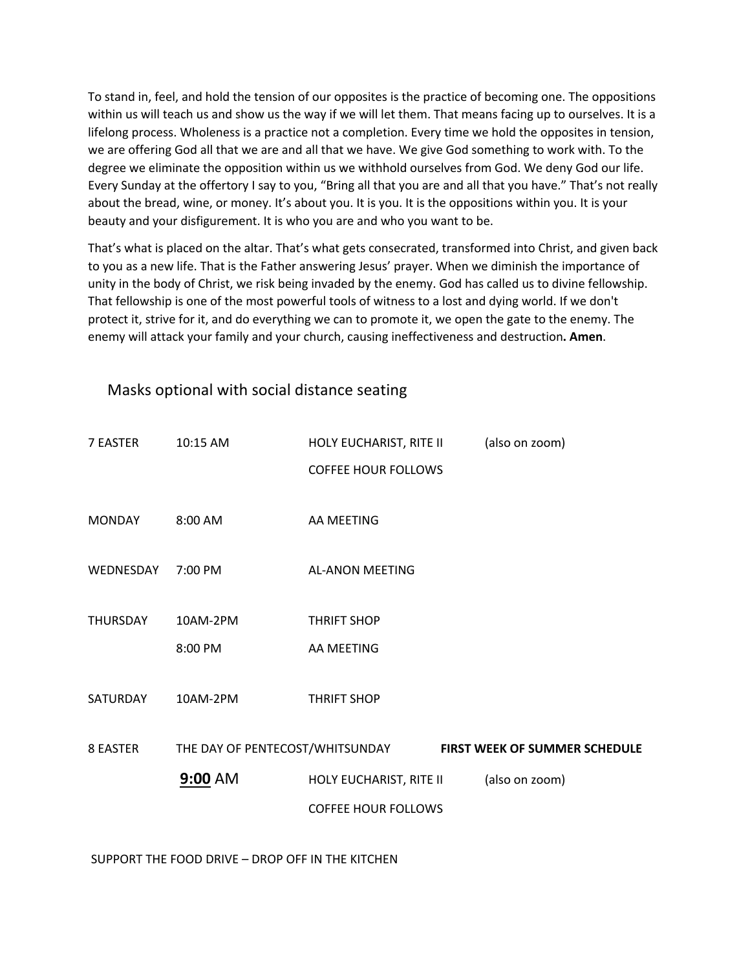To stand in, feel, and hold the tension of our opposites is the practice of becoming one. The oppositions within us will teach us and show us the way if we will let them. That means facing up to ourselves. It is a lifelong process. Wholeness is a practice not a completion. Every time we hold the opposites in tension, we are offering God all that we are and all that we have. We give God something to work with. To the degree we eliminate the opposition within us we withhold ourselves from God. We deny God our life. Every Sunday at the offertory I say to you, "Bring all that you are and all that you have." That's not really about the bread, wine, or money. It's about you. It is you. It is the oppositions within you. It is your beauty and your disfigurement. It is who you are and who you want to be.

That's what is placed on the altar. That's what gets consecrated, transformed into Christ, and given back to you as a new life. That is the Father answering Jesus' prayer. When we diminish the importance of unity in the body of Christ, we risk being invaded by the enemy. God has called us to divine fellowship. That fellowship is one of the most powerful tools of witness to a lost and dying world. If we don't protect it, strive for it, and do everything we can to promote it, we open the gate to the enemy. The enemy will attack your family and your church, causing ineffectiveness and destruction**. Amen**.

| 7 EASTER      | 10:15 AM            | HOLY EUCHARIST, RITE II          | (also on zoom)                |
|---------------|---------------------|----------------------------------|-------------------------------|
|               |                     | <b>COFFEE HOUR FOLLOWS</b>       |                               |
| <b>MONDAY</b> | 8:00 AM             | AA MEETING                       |                               |
| WEDNESDAY     | 7:00 PM             | <b>AL-ANON MEETING</b>           |                               |
| THURSDAY      | 10AM-2PM<br>8:00 PM | <b>THRIFT SHOP</b><br>AA MEETING |                               |
| SATURDAY      | 10AM-2PM            | <b>THRIFT SHOP</b>               |                               |
| 8 EASTER      |                     | THE DAY OF PENTECOST/WHITSUNDAY  | FIRST WEEK OF SUMMER SCHEDULE |
|               | 9:00 AM             | HOLY EUCHARIST, RITE II          | (also on zoom)                |
|               |                     | <b>COFFEE HOUR FOLLOWS</b>       |                               |
|               |                     |                                  |                               |

## Masks optional with social distance seating

SUPPORT THE FOOD DRIVE – DROP OFF IN THE KITCHEN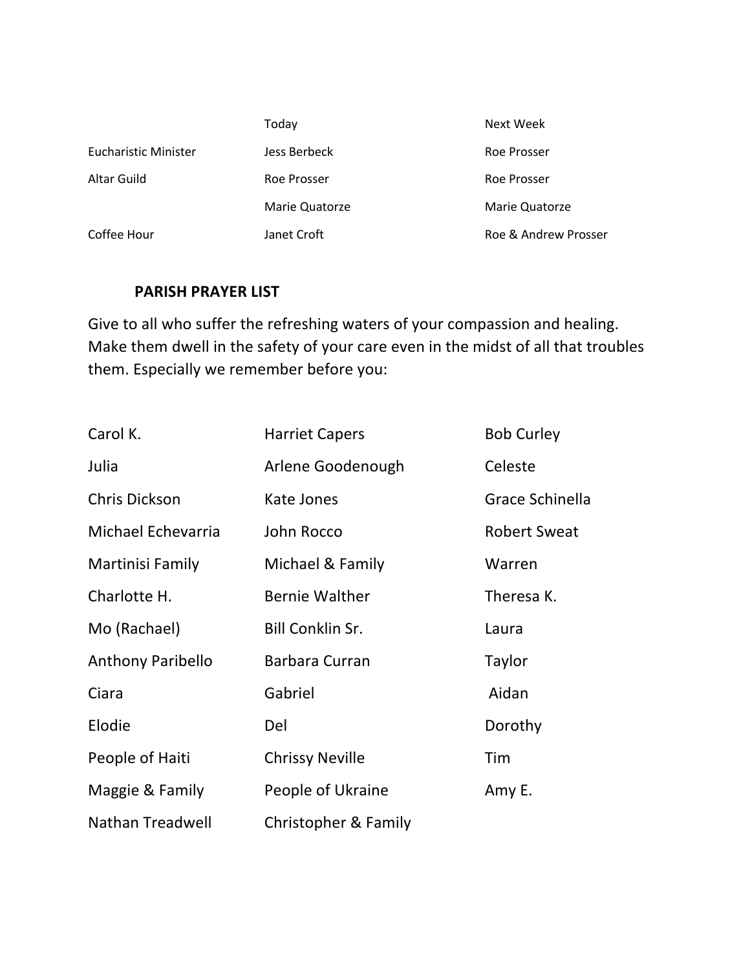|                      | Today          | Next Week            |
|----------------------|----------------|----------------------|
| Eucharistic Minister | Jess Berbeck   | Roe Prosser          |
| Altar Guild          | Roe Prosser    | Roe Prosser          |
|                      | Marie Quatorze | Marie Quatorze       |
| Coffee Hour          | Janet Croft    | Roe & Andrew Prosser |

# **PARISH PRAYER LIST**

Give to all who suffer the refreshing waters of your compassion and healing. Make them dwell in the safety of your care even in the midst of all that troubles them. Especially we remember before you:

| Carol K.                 | <b>Harriet Capers</b>   | <b>Bob Curley</b>   |
|--------------------------|-------------------------|---------------------|
| Julia                    | Arlene Goodenough       | Celeste             |
| Chris Dickson            | Kate Jones              | Grace Schinella     |
| Michael Echevarria       | John Rocco              | <b>Robert Sweat</b> |
| Martinisi Family         | Michael & Family        | Warren              |
| Charlotte H.             | <b>Bernie Walther</b>   | Theresa K.          |
| Mo (Rachael)             | <b>Bill Conklin Sr.</b> | Laura               |
| <b>Anthony Paribello</b> | Barbara Curran          | Taylor              |
| Ciara                    | Gabriel                 | Aidan               |
| Elodie                   | Del                     | Dorothy             |
| People of Haiti          | <b>Chrissy Neville</b>  | Tim                 |
| Maggie & Family          | People of Ukraine       | Amy E.              |
| Nathan Treadwell         | Christopher & Family    |                     |